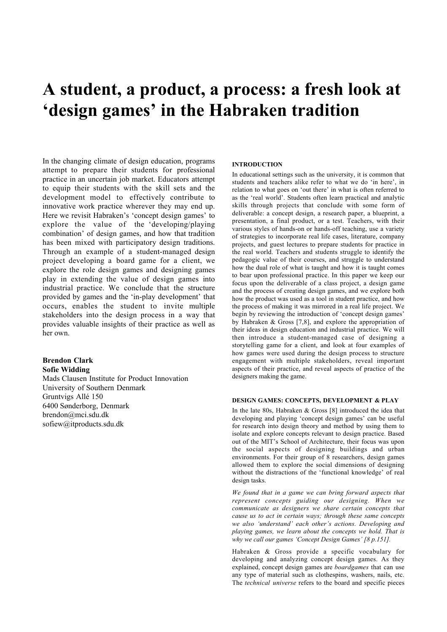# A student, a product, a process: a fresh look at 'design games' in the Habraken tradition

In the changing climate of design education, programs attempt to prepare their students for professional practice in an uncertain job market. Educators attempt to equip their students with the skill sets and the development model to effectively contribute to innovative work practice wherever they may end up. Here we revisit Habraken's 'concept design games' to explore the value of the 'developing/playing combination' of design games, and how that tradition has been mixed with participatory design traditions. Through an example of a student-managed design project developing a board game for a client, we explore the role design games and designing games play in extending the value of design games into industrial practice. We conclude that the structure provided by games and the 'in-play development' that occurs, enables the student to invite multiple stakeholders into the design process in a way that provides valuable insights of their practice as well as her own.

# Brendon Clark Sofie Widding

Mads Clausen Institute for Product Innovation University of Southern Denmark Gruntvigs Allé 150 6400 Sønderborg, Denmark brendon@mci.sdu.dk sofiew@itproducts.sdu.dk

# **INTRODUCTION**

In educational settings such as the university, it is common that students and teachers alike refer to what we do 'in here', in relation to what goes on 'out there' in what is often referred to as the 'real world'. Students often learn practical and analytic skills through projects that conclude with some form of deliverable: a concept design, a research paper, a blueprint, a presentation, a final product, or a test. Teachers, with their various styles of hands-on or hands-off teaching, use a variety of strategies to incorporate real life cases, literature, company projects, and guest lectures to prepare students for practice in the real world. Teachers and students struggle to identify the pedagogic value of their courses, and struggle to understand how the dual role of what is taught and how it is taught comes to bear upon professional practice. In this paper we keep our focus upon the deliverable of a class project, a design game and the process of creating design games, and we explore both how the product was used as a tool in student practice, and how the process of making it was mirrored in a real life project. We begin by reviewing the introduction of 'concept design games' by Habraken & Gross [7,8], and explore the appropriation of their ideas in design education and industrial practice. We will then introduce a student-managed case of designing a storytelling game for a client, and look at four examples of how games were used during the design process to structure engagement with multiple stakeholders, reveal important aspects of their practice, and reveal aspects of practice of the designers making the game.

# DESIGN GAMES: CONCEPTS, DEVELOPMENT & PLAY

In the late 80s, Habraken & Gross [8] introduced the idea that developing and playing 'concept design games' can be useful for research into design theory and method by using them to isolate and explore concepts relevant to design practice. Based out of the MIT's School of Architecture, their focus was upon the social aspects of designing buildings and urban environments. For their group of 8 researchers, design games allowed them to explore the social dimensions of designing without the distractions of the 'functional knowledge' of real design tasks.

*We found that in a game we can bring forward aspects that represent concepts guiding our designing. When we communicate as designers we share certain concepts that cause us to act in certain ways; through these same concepts we also 'understand' each other's actions. Developing and playing games, we learn about the concepts we hold. That is why we call our games 'Concept Design Games' [8 p.151].*

Habraken & Gross provide a specific vocabulary for developing and analyzing concept design games. As they explained, concept design games are *boardgames* that can use any type of material such as clothespins, washers, nails, etc. The *technical universe* refers to the board and specific pieces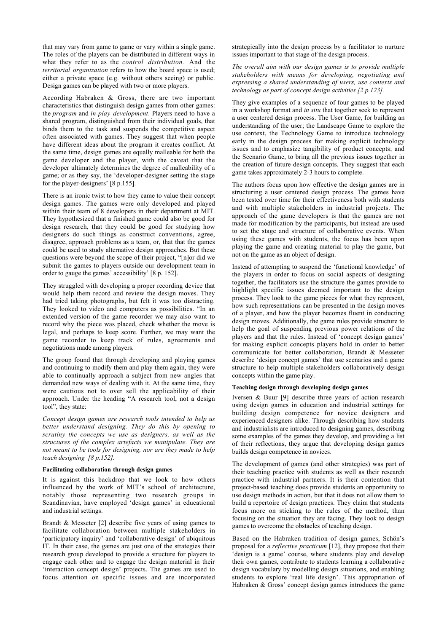that may vary from game to game or vary within a single game. The roles of the players can be distributed in different ways in what they refer to as the *control distribution.* And the *territorial organization* refers to how the board space is used; either a private space (e.g. without others seeing) or public. Design games can be played with two or more players.

According Habraken & Gross, there are two important characteristics that distinguish design games from other games: the *program* and *in-play development*. Players need to have a shared program, distinguished from their individual goals, that binds them to the task and suspends the competitive aspect often associated with games. They suggest that when people have different ideas about the program it creates conflict. At the same time, design games are equally malleable for both the game developer and the player, with the caveat that the developer ultimately determines the degree of malleability of a game; or as they say, the 'developer-designer setting the stage for the player-designers' [8 p.155].

There is an ironic twist to how they came to value their concept design games. The games were only developed and played within their team of 8 developers in their department at MIT. They hypothesized that a finished game could also be good for design research, that they could be good for studying how designers do such things as construct conventions, agree, disagree, approach problems as a team, or, that that the games could be used to study alternative design approaches. But these questions were beyond the scope of their project, "[n]or did we submit the games to players outside our development team in order to gauge the games' accessibility' [8 p. 152].

They struggled with developing a proper recording device that would help them record and review the design moves. They had tried taking photographs, but felt it was too distracting. They looked to video and computers as possibilities. "In an extended version of the game recorder we may also want to record why the piece was placed, check whether the move is legal, and perhaps to keep score. Further, we may want the game recorder to keep track of rules, agreements and negotiations made among players.

The group found that through developing and playing games and continuing to modify them and play them again, they were able to continually approach a subject from new angles that demanded new ways of dealing with it. At the same time, they were cautious not to over sell the applicability of their approach. Under the heading "A research tool, not a design tool", they state:

*Concept design games are research tools intended to help us better understand designing. They do this by opening to scrutiny the concepts we use as designers, as well as the structures of the complex artefacts we manipulate. They are not meant to be tools for designing, nor are they made to help teach designing [8 p.152].*

# Facilitating collaboration through design games

It is against this backdrop that we look to how others influenced by the work of MIT's school of architecture, notably those representing two research groups in Scandinavian, have employed 'design games' in educational and industrial settings.

Brandt & Messeter [2] describe five years of using games to facilitate collaboration between multiple stakeholders in 'participatory inquiry' and 'collaborative design' of ubiquitous IT. In their case, the games are just one of the strategies their research group developed to provide a structure for players to engage each other and to engage the design material in their 'interaction concept design' projects. The games are used to focus attention on specific issues and are incorporated

strategically into the design process by a facilitator to nurture issues important to that stage of the design process.

*The overall aim with our design games is to provide multiple stakeholders with means for developing, negotiating and expressing a shared understanding of users, use contexts and technology as part of concept design activities [2 p.123].*

They give examples of a sequence of four games to be played in a workshop format and *in situ* that together seek to represent a user centered design process. The User Game, for building an understanding of the user; the Landscape Game to explore the use context, the Technology Game to introduce technology early in the design process for making explicit technology issues and to emphasize tangibility of product concepts; and the Scenario Game, to bring all the previous issues together in the creation of future design concepts. They suggest that each game takes approximately 2-3 hours to complete.

The authors focus upon how effective the design games are in structuring a user centered design process. The games have been tested over time for their effectiveness both with students and with multiple stakeholders in industrial projects. The approach of the game developers is that the games are not made for modification by the participants, but instead are used to set the stage and structure of collaborative events. When using these games with students, the focus has been upon playing the game and creating material to play the game, but not on the game as an object of design.

Instead of attempting to suspend the 'functional knowledge' of the players in order to focus on social aspects of designing together, the facilitators use the structure the games provide to highlight specific issues deemed important to the design process. They look to the game pieces for what they represent, how such representations can be presented in the design moves of a player, and how the player becomes fluent in conducting design moves. Additionally, the game rules provide structure to help the goal of suspending previous power relations of the players and that the rules. Instead of 'concept design games' for making explicit concepts players hold in order to better communicate for better collaboration, Brandt & Messeter describe 'design concept games' that use scenarios and a game structure to help multiple stakeholders collaboratively design concepts within the game play.

## Teaching design through developing design games

Iversen & Buur [9] describe three years of action research using design games in education and industrial settings for building design competence for novice designers and experienced designers alike. Through describing how students and industrialists are introduced to designing games, describing some examples of the games they develop, and providing a list of their reflections, they argue that developing design games builds design competence in novices.

The development of games (and other strategies) was part of their teaching practice with students as well as their research practice with industrial partners. It is their contention that project-based teaching does provide students an opportunity to use design methods in action, but that it does not allow them to build a repertoire of design practices. They claim that students focus more on sticking to the rules of the method, than focusing on the situation they are facing. They look to design games to overcome the obstacles of teaching design.

Based on the Habraken tradition of design games, Schön's proposal for a *reflective practicum* [12], they propose that their 'design is a game' course, where students play and develop their own games, contribute to students learning a collaborative design vocabulary by modelling design situations, and enabling students to explore 'real life design'. This appropriation of Habraken & Gross' concept design games introduces the game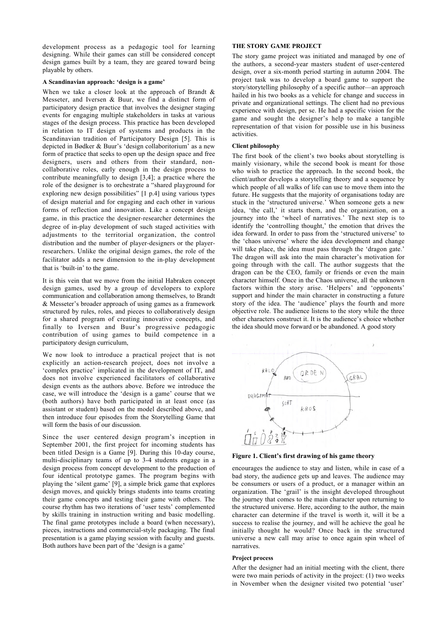development process as a pedagogic tool for learning designing. While their games can still be considered concept design games built by a team, they are geared toward being playable by others.

# A Scandinavian approach: 'design is a game'

When we take a closer look at the approach of Brandt & Messeter, and Iversen & Buur, we find a distinct form of participatory design practice that involves the designer staging events for engaging multiple stakeholders in tasks at various stages of the design process. This practice has been developed in relation to IT design of systems and products in the Scandinavian tradition of Participatory Design [5]. This is depicted in Bødker & Buur's 'design collaboritorium' as a new form of practice that seeks to open up the design space and free designers, users and others from their standard, noncollaborative roles, early enough in the design process to contribute meaningfully to design [3,4]; a practice where the role of the designer is to orchestrate a "shared playground for exploring new design possibilities" [1 p.4] using various types of design material and for engaging and each other in various forms of reflection and innovation. Like a concept design game, in this practice the designer-researcher determines the degree of in-play development of such staged activities with adjustments to the territorial organization, the control distribution and the number of player-designers or the playerresearchers. Unlike the original design games, the role of the facilitator adds a new dimension to the in-play development that is 'built-in' to the game.

It is this vein that we move from the initial Habraken concept design games, used by a group of developers to explore communication and collaboration among themselves, to Brandt & Messeter's broader approach of using games as a framework structured by rules, roles, and pieces to collaboratively design for a shared program of creating innovative concepts, and finally to Iversen and Buur's progressive pedagogic contribution of using games to build competence in a participatory design curriculum,

We now look to introduce a practical project that is not explicitly an action-research project, does not involve a 'complex practice' implicated in the development of IT, and does not involve experienced facilitators of collaborative design events as the authors above. Before we introduce the case, we will introduce the 'design is a game' course that we (both authors) have both participated in at least once (as assistant or student) based on the model described above, and then introduce four episodes from the Storytelling Game that will form the basis of our discussion.

Since the user centered design program's inception in September 2001, the first project for incoming students has been titled Design is a Game [9]. During this 10-day course, multi-disciplinary teams of up to 3-4 students engage in a design process from concept development to the production of four identical prototype games. The program begins with playing the 'silent game' [9], a simple brick game that explores design moves, and quickly brings students into teams creating their game concepts and testing their game with others. The course rhythm has two iterations of 'user tests' complemented by skills training in instruction writing and basic modelling. The final game prototypes include a board (when necessary), pieces, instructions and commercial-style packaging. The final presentation is a game playing session with faculty and guests. Both authors have been part of the 'design is a game'

# THE STORY GAME PROJECT

The story game project was initiated and managed by one of the authors, a second-year masters student of user-centered design, over a six-month period starting in autumn 2004. The project task was to develop a board game to support the story/storytelling philosophy of a specific author—an approach hailed in his two books as a vehicle for change and success in private and organizational settings. The client had no previous experience with design, per se. He had a specific vision for the game and sought the designer's help to make a tangible representation of that vision for possible use in his business activities.

# Client philosophy

The first book of the client's two books about storytelling is mainly visionary, while the second book is meant for those who wish to practice the approach. In the second book, the client/author develops a storytelling theory and a sequence by which people of all walks of life can use to move them into the future. He suggests that the majority of organisations today are stuck in the 'structured universe.' When someone gets a new idea, 'the call,' it starts them, and the organization, on a journey into the 'wheel of narratives.' The next step is to identify the 'controlling thought,' the emotion that drives the idea forward. In order to pass from the 'structured universe' to the 'chaos universe' where the idea development and change will take place, the idea must pass through the 'dragon gate.' The dragon will ask into the main character's motivation for going through with the call. The author suggests that the dragon can be the CEO, family or friends or even the main character himself. Once in the Chaos universe, all the unknown factors within the story arise. 'Helpers' and 'opponents' support and hinder the main character in constructing a future story of the idea. The 'audience' plays the fourth and more objective role. The audience listens to the story while the three other characters construct it. It is the audience's choice whether the idea should move forward or be abandoned. A good story



Figure 1. Client's first drawing of his game theory

encourages the audience to stay and listen, while in case of a bad story, the audience gets up and leaves. The audience may be consumers or users of a product, or a manager within an organization. The 'grail' is the insight developed throughout the journey that comes to the main character upon returning to the structured universe. Here, according to the author, the main character can determine if the travel is worth it, will it be a success to realise the journey, and will he achieve the goal he initially thought he would? Once back in the structured universe a new call may arise to once again spin wheel of narratives.

#### Project process

After the designer had an initial meeting with the client, there were two main periods of activity in the project: (1) two weeks in November when the designer visited two potential 'user'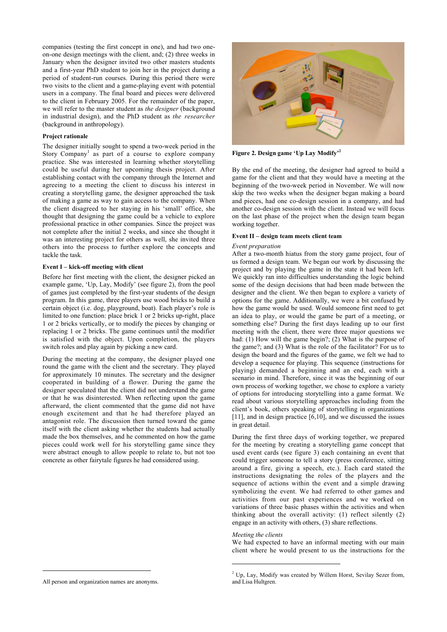companies (testing the first concept in one), and had two oneon-one design meetings with the client, and; (2) three weeks in January when the designer invited two other masters students and a first-year PhD student to join her in the project during a period of student-run courses. During this period there were two visits to the client and a game-playing event with potential users in a company. The final board and pieces were delivered to the client in February 2005. For the remainder of the paper, we will refer to the master student as *the designer* (background in industrial design), and the PhD student as *the researcher* (background in anthropology).

## Project rationale

The designer initially sought to spend a two-week period in the Story Company<sup>1</sup> as part of a course to explore company practice. She was interested in learning whether storytelling could be useful during her upcoming thesis project. After establishing contact with the company through the Internet and agreeing to a meeting the client to discuss his interest in creating a storytelling game, the designer approached the task of making a game as way to gain access to the company. When the client disagreed to her staying in his 'small' office, she thought that designing the game could be a vehicle to explore professional practice in other companies. Since the project was not complete after the initial 2 weeks, and since she thought it was an interesting project for others as well, she invited three others into the process to further explore the concepts and tackle the task.

## Event I – kick-off meeting with client

Before her first meeting with the client, the designer picked an example game, 'Up, Lay, Modify' (see figure 2), from the pool of games just completed by the first-year students of the design program. In this game, three players use wood bricks to build a certain object (i.e. dog, playground, boat). Each player's role is limited to one function: place brick 1 or 2 bricks up-right, place 1 or 2 bricks vertically, or to modify the pieces by changing or replacing 1 or 2 bricks. The game continues until the modifier is satisfied with the object. Upon completion, the players switch roles and play again by picking a new card.

During the meeting at the company, the designer played one round the game with the client and the secretary. They played for approximately 10 minutes. The secretary and the designer cooperated in building of a flower. During the game the designer speculated that the client did not understand the game or that he was disinterested. When reflecting upon the game afterward, the client commented that the game did not have enough excitement and that he had therefore played an antagonist role. The discussion then turned toward the game itself with the client asking whether the students had actually made the box themselves, and he commented on how the game pieces could work well for his storytelling game since they were abstract enough to allow people to relate to, but not too concrete as other fairytale figures he had considered using.



 $\overline{a}$ 



Figure 2. Design game 'Up Lay Modify'<sup>2</sup>

By the end of the meeting, the designer had agreed to build a game for the client and that they would have a meeting at the beginning of the two-week period in November. We will now skip the two weeks when the designer began making a board and pieces, had one co-design session in a company, and had another co-design session with the client. Instead we will focus on the last phase of the project when the design team began working together.

# Event II – design team meets client team

# *Event preparation*

After a two-month hiatus from the story game project, four of us formed a design team. We began our work by discussing the project and by playing the game in the state it had been left. We quickly ran into difficulties understanding the logic behind some of the design decisions that had been made between the designer and the client. We then began to explore a variety of options for the game. Additionally, we were a bit confused by how the game would be used. Would someone first need to get an idea to play, or would the game be part of a meeting, or something else? During the first days leading up to our first meeting with the client, there were three major questions we had: (1) How will the game begin?; (2) What is the purpose of the game?; and (3) What is the role of the facilitator? For us to design the board and the figures of the game, we felt we had to develop a sequence for playing. This sequence (instructions for playing) demanded a beginning and an end, each with a scenario in mind. Therefore, since it was the beginning of our own process of working together, we chose to explore a variety of options for introducing storytelling into a game format. We read about various storytelling approaches including from the client's book, others speaking of storytelling in organizations [11], and in design practice [6,10], and we discussed the issues in great detail.

During the first three days of working together, we prepared for the meeting by creating a storytelling game concept that used event cards (see figure 3) each containing an event that could trigger someone to tell a story (press conference, sitting around a fire, giving a speech, etc.). Each card stated the instructions designating the roles of the players and the sequence of actions within the event and a simple drawing symbolizing the event. We had referred to other games and activities from our past experiences and we worked on variations of three basic phases within the activities and when thinking about the overall activity: (1) reflect silently (2) engage in an activity with others, (3) share reflections.

#### *Meeting the clients*

j

We had expected to have an informal meeting with our main client where he would present to us the instructions for the

<sup>2</sup> Up, Lay, Modify was created by Willem Horst, Sevilay Sezer from, and Lisa Hultgren.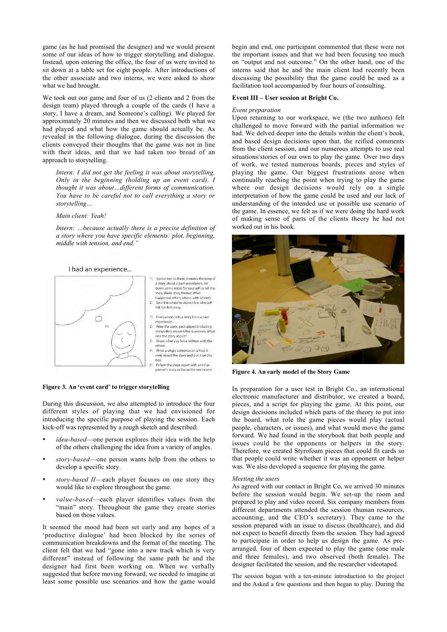game (as he had promised the designer) and we would present some of our ideas of how to trigger storytelling and dialogue. Instead, upon entering the office, the four of us were invited to sit down at a table set for eight people. After introductions of the other associate and two interns, we were asked to show what we had brought.

We took out our game and four of us (2 clients and 2 from the design team) played through a couple of the cards (I have a story, I have a dream, and Someone's calling). We played for approximately 20 minutes and then we discussed both what we had played and what how the game should actually be. As revealed in the following dialogue, during the discussion the clients conveyed their thoughts that the game was not in line with their ideas, and that we had taken too broad of an approach to storytelling.

*Intern: I did not get the feeling it was about storytelling. Only in the beginning (holding up an event card), I thought it was about…different forms of communication. You have to be careful not to call everything a story or storytelling…*

# *Main client: Yeah!*

*Intern: …because actually there is a precise definition of a story where you have specific elements: plot, beginning, middle with tension, and end."*



#### Figure 3. An 'event card' to trigger storytelling

During this discussion, we also attempted to introduce the four different styles of playing that we had envisioned for introducing the specific purpose of playing the session. Each kick-off was represented by a rough sketch and described:

- *idea-based*—one person explores their idea with the help of the others challenging the idea from a variety of angles.
- *story-based*—one person wants help from the others to develop a specific story.
- *story-based II*—each player focuses on one story they would like to explore throughout the game*.*
- *value-based*—each player identifies values from the "main" story. Throughout the game they create stories based on those values.

It seemed the mood had been set early and any hopes of a 'productive dialogue' had been blocked by the series of communication breakdowns and the format of the meeting. The client felt that we had "gone into a new track which is very different" instead of following the same path he and the designer had first been working on. When we verbally suggested that before moving forward, we needed to imagine at least some possible use scenarios and how the game would

begin and end, one participant commented that these were not the important issues and that we had been focusing too much on "output and not outcome." On the other hand, one of the interns said that he and the main client had recently been discussing the possibility that the game could be used as a facilitation tool accompanied by four hours of consulting.

# Event III – User session at Bright Co.

#### *Event preparation*

Upon returning to our workspace, we (the two authors) felt challenged to move forward with the partial information we had. We delved deeper into the details within the client's book, and based design decisions upon that, the reified comments from the client session, and our numerous attempts to use real situations/stories of our own to play the game. Over two days of work, we tested numerous boards, pieces and styles of playing the game. Our biggest frustrations arose when continually reaching the point when trying to play the game where our design decisions would rely on a single interpretation of how the game could be used and our lack of understanding of the intended use or possible use scenario of the game. In essence, we felt as if we were doing the hard work of making sense of parts of the clients theory he had not worked out in his book.



Figure 4. An early model of the Story Game

In preparation for a user test in Bright Co., an international electronic manufacturer and distributor, we created a board, pieces, and a script for playing the game. At this point, our design decisions included which parts of the theory to put into the board, what role the game pieces would play (actual people, characters, or issues), and what would move the game forward. We had found in the storybook that both people and issues could be the opponents or helpers in the story. Therefore, we created Styrofoam pieces that could fit cards so that people could write whether it was an opponent or helper was. We also developed a sequence for playing the game.

### *Meeting the users*

As agreed with our contact in Bright Co, we arrived 30 minutes before the session would begin. We set-up the room and prepared to play and video record. Six company members from different departments attended the session (human resources, accounting, and the CEO's secretary). They came to the session prepared with an issue to discuss (healthcare), and did not expect to benefit directly from the session. They had agreed to participate in order to help us design the game. As prearranged, four of them expected to play the game (one male and three females), and two observed (both female). The designer facilitated the session, and the researcher videotaped.

The session began with a ten-minute introduction to the project and the Asked a few questions and then began to play. During the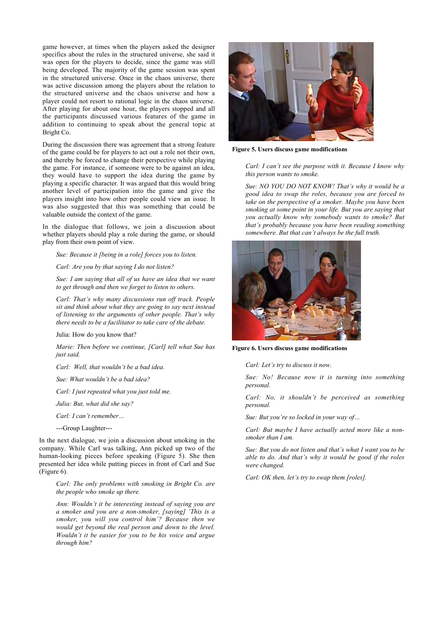game however, at times when the players asked the designer specifics about the rules in the structured universe, she said it was open for the players to decide, since the game was still being developed. The majority of the game session was spent in the structured universe. Once in the chaos universe, there was active discussion among the players about the relation to the structured universe and the chaos universe and how a player could not resort to rational logic in the chaos universe. After playing for about one hour, the players stopped and all the participants discussed various features of the game in addition to continuing to speak about the general topic at Bright Co.

During the discussion there was agreement that a strong feature of the game could be for players to act out a role not their own, and thereby be forced to change their perspective while playing the game. For instance, if someone were to be against an idea, they would have to support the idea during the game by playing a specific character. It was argued that this would bring another level of participation into the game and give the players insight into how other people could view an issue. It was also suggested that this was something that could be valuable outside the context of the game.

In the dialogue that follows, we join a discussion about whether players should play a role during the game, or should play from their own point of view.

*Sue: Because it [being in a role] forces you to listen.*

*Carl: Are you by that saying I do not listen?*

*Sue: I am saying that all of us have an idea that we want to get through and then we forget to listen to others.*

*Carl: That's why many discussions run off track. People sit and think about what they are going to say next instead of listening to the arguments of other people. That's why there needs to be a facilitator to take care of the debate.*

Julia: How do you know that?

*Marie: Then before we continue, [Carl] tell what Sue has just said.*

*Carl: Well, that wouldn't be a bad idea.*

*Sue: What wouldn't be a bad idea?*

*Carl: I just repeated what you just told me.*

*Julia: But, what did she say?*

*Carl: I can't remember…*

---Group Laughter---

In the next dialogue, we join a discussion about smoking in the company. While Carl was talking, Ann picked up two of the human-looking pieces before speaking (Figure 5). She then presented her idea while putting pieces in front of Carl and Sue (Figure 6).

*Carl: The only problems with smoking in Bright Co. are the people who smoke up there.*

*Ann: Wouldn't it be interesting instead of saying you are a smoker and you are a non-smoker, [saying] 'This is a smoker, you will you control him'? Because then we would get beyond the real person and down to the level. Wouldn't it be easier for you to be his voice and argue through him?*



Figure 5. Users discuss game modifications

*Carl: I can't see the purpose with it. Because I know why this person wants to smoke.*

*Sue: NO YOU DO NOT KNOW! That's why it would be a good idea to swap the roles, because you are forced to take on the perspective of a smoker. Maybe you have been smoking at some point in your life. But you are saying that you actually know why somebody wants to smoke? But that's probably because you have been reading something somewhere. But that can't always be the full truth.*



Figure 6. Users discuss game modifications

*Carl: Let's try to discuss it now.*

*Sue: No! Because now it is turning into something personal.*

*Carl: No, it shouldn't be perceived as something personal.*

*Sue: But you're so locked in your way of…*

*Carl: But maybe I have actually acted more like a nonsmoker than I am.*

*Sue: But you do not listen and that's what I want you to be able to do. And that's why it would be good if the roles were changed.*

*Carl: OK then, let's try to swap them [roles].*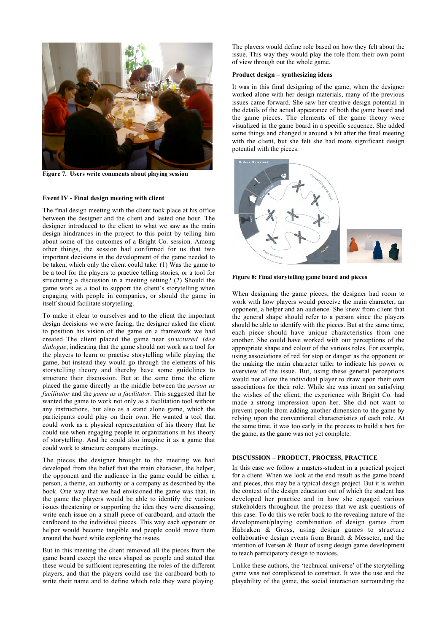

Figure 7. Users write comments about playing session

# Event IV - Final design meeting with client

The final design meeting with the client took place at his office between the designer and the client and lasted one hour. The designer introduced to the client to what we saw as the main design hindrances in the project to this point by telling him about some of the outcomes of a Bright Co. session. Among other things, the session had confirmed for us that two important decisions in the development of the game needed to be taken, which only the client could take: (1) Was the game to be a tool for the players to practice telling stories, or a tool for structuring a discussion in a meeting setting? (2) Should the game work as a tool to support the client's storytelling when engaging with people in companies, or should the game in itself should facilitate storytelling.

To make it clear to ourselves and to the client the important design decisions we were facing, the designer asked the client to position his vision of the game on a framework we had created The client placed the game near *structured idea dialogue*, indicating that the game should not work as a tool for the players to learn or practise storytelling while playing the game, but instead they would go through the elements of his storytelling theory and thereby have some guidelines to structure their discussion. But at the same time the client placed the game directly in the middle between the *person as facilitator* and the *game as a facilitator*. This suggested that he wanted the game to work not only as a facilitation tool without any instructions, but also as a stand alone game, which the participants could play on their own. He wanted a tool that could work as a physical representation of his theory that he could use when engaging people in organizations in his theory of storytelling. And he could also imagine it as a game that could work to structure company meetings.

The pieces the designer brought to the meeting we had developed from the belief that the main character, the helper, the opponent and the audience in the game could be either a person, a theme, an authority or a company as described by the book. One way that we had envisioned the game was that, in the game the players would be able to identify the various issues threatening or supporting the idea they were discussing, write each issue on a small piece of cardboard, and attach the cardboard to the individual pieces. This way each opponent or helper would become tangible and people could move them around the board while exploring the issues.

But in this meeting the client removed all the pieces from the game board except the ones shaped as people and stated that these would be sufficient representing the roles of the different players, and that the players could use the cardboard both to write their name and to define which role they were playing.

The players would define role based on how they felt about the issue. This way they would play the role from their own point of view through out the whole game.

## Product design – synthesizing ideas

It was in this final designing of the game, when the designer worked alone with her design materials, many of the previous issues came forward. She saw her creative design potential in the details of the actual appearance of both the game board and the game pieces. The elements of the game theory were visualized in the game board in a specific sequence. She added some things and changed it around a bit after the final meeting with the client, but she felt she had more significant design potential with the pieces.



Figure 8: Final storytelling game board and pieces

When designing the game pieces, the designer had room to work with how players would perceive the main character, an opponent, a helper and an audience. She knew from client that the general shape should refer to a person since the players should be able to identify with the pieces. But at the same time, each piece should have unique characteristics from one another. She could have worked with our perceptions of the appropriate shape and colour of the various roles. For example, using associations of red for stop or danger as the opponent or the making the main character taller to indicate his power or overview of the issue. But, using these general perceptions would not allow the individual player to draw upon their own associations for their role. While she was intent on satisfying the wishes of the client, the experience with Bright Co. had made a strong impression upon her. She did not want to prevent people from adding another dimension to the game by relying upon the conventional characteristics of each role. At the same time, it was too early in the process to build a box for the game, as the game was not yet complete.

# DISCUSSION – PRODUCT, PROCESS, PRACTICE

In this case we follow a masters-student in a practical project for a client. When we look at the end result as the game board and pieces, this may be a typical design project. But it is within the context of the design education out of which the student has developed her practice and in how she engaged various stakeholders throughout the process that we ask questions of this case. To do this we refer back to the revealing nature of the development/playing combination of design games from Habraken & Gross, using design games to structure collaborative design events from Brandt & Messeter, and the intention of Iversen & Buur of using design game development to teach participatory design to novices.

Unlike these authors, the 'technical universe' of the storytelling game was not complicated to construct. It was the use and the playability of the game, the social interaction surrounding the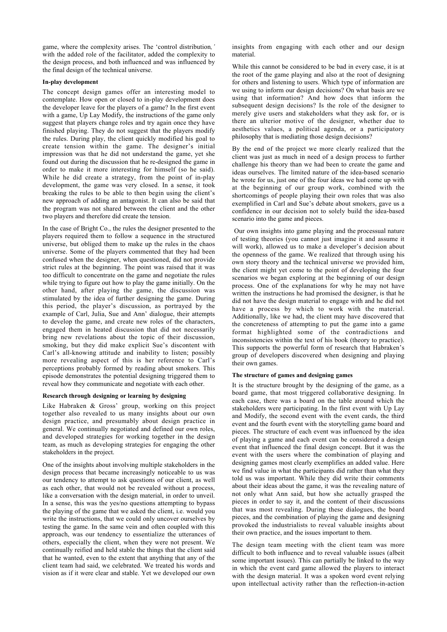game, where the complexity arises. The 'control distribution*,'* with the added role of the facilitator, added the complexity to the design process, and both influenced and was influenced by the final design of the technical universe.

# In-play development

The concept design games offer an interesting model to contemplate. How open or closed to in-play development does the developer leave for the players of a game? In the first event with a game, Up Lay Modify, the instructions of the game only suggest that players change roles and try again once they have finished playing. They do not suggest that the players modify the rules. During play, the client quickly modified his goal to create tension within the game. The designer's initial impression was that he did not understand the game, yet she found out during the discussion that he re-designed the game in order to make it more interesting for himself (so he said). While he did create a strategy, from the point of in-play development, the game was very closed. In a sense, it took breaking the rules to be able to then begin using the client's new approach of adding an antagonist. It can also be said that the program was not shared between the client and the other two players and therefore did create the tension.

In the case of Bright Co., the rules the designer presented to the players required them to follow a sequence in the structured universe, but obliged them to make up the rules in the chaos universe. Some of the players commented that they had been confused when the designer, when questioned, did not provide strict rules at the beginning. The point was raised that it was too difficult to concentrate on the game and negotiate the rules while trying to figure out how to play the game initially. On the other hand, after playing the game, the discussion was stimulated by the idea of further designing the game. During this period, the player's discussion, as portrayed by the example of Carl, Julia, Sue and Ann' dialogue, their attempts to develop the game, and create new roles of the characters, engaged them in heated discussion that did not necessarily bring new revelations about the topic of their discussion, smoking, but they did make explicit Sue's discontent with Carl's all-knowing attitude and inability to listen; possibly more revealing aspect of this is her reference to Carl's perceptions probably formed by reading about smokers. This episode demonstrates the potential designing triggered them to reveal how they communicate and negotiate with each other.

#### Research through designing or learning by designing

Like Habraken & Gross' group, working on this project together also revealed to us many insights about our own design practice, and presumably about design practice in general. We continually negotiated and defined our own roles, and developed strategies for working together in the design team, as much as developing strategies for engaging the other stakeholders in the project.

One of the insights about involving multiple stakeholders in the design process that became increasingly noticeable to us was our tendency to attempt to ask questions of our client, as well as each other, that would not be revealed without a process, like a conversation with the design material, in order to unveil. In a sense, this was the yes/no questions attempting to bypass the playing of the game that we asked the client, i.e. would you write the instructions, that we could only uncover ourselves by testing the game. In the same vein and often coupled with this approach, was our tendency to essentialize the utterances of others, especially the client, when they were not present. We continually reified and held stable the things that the client said that he wanted, even to the extent that anything that any of the client team had said, we celebrated. We treated his words and vision as if it were clear and stable. Yet we developed our own

insights from engaging with each other and our design material.

While this cannot be considered to be bad in every case, it is at the root of the game playing and also at the root of designing for others and listening to users. Which type of information are we using to inform our design decisions? On what basis are we using that information? And how does that inform the subsequent design decisions? Is the role of the designer to merely give users and stakeholders what they ask for, or is there an ulterior motive of the designer, whether due to aesthetics values, a political agenda, or a participatory philosophy that is mediating those design decisions?

By the end of the project we more clearly realized that the client was just as much in need of a design process to further challenge his theory than we had been to create the game and ideas ourselves. The limited nature of the idea-based scenario he wrote for us, just one of the four ideas we had come up with at the beginning of our group work, combined with the shortcomings of people playing their own roles that was also exemplified in Carl and Sue's debate about smokers, gave us a confidence in our decision not to solely build the idea-based scenario into the game and pieces.

Our own insights into game playing and the processual nature of testing theories (you cannot just imagine it and assume it will work), allowed us to make a developer's decision about the openness of the game. We realized that through using his own story theory and the technical universe we provided him, the client might yet come to the point of developing the four scenarios we began exploring at the beginning of our design process. One of the explanations for why he may not have written the instructions he had promised the designer, is that he did not have the design material to engage with and he did not have a process by which to work with the material. Additionally, like we had, the client may have discovered that the concreteness of attempting to put the game into a game format highlighted some of the contradictions and inconsistencies within the text of his book (theory to practice). This supports the powerful form of research that Habraken's group of developers discovered when designing and playing their own games.

# The structure of games and designing games

It is the structure brought by the designing of the game, as a board game, that most triggered collaborative designing. In each case, there was a board on the table around which the stakeholders were participating. In the first event with Up Lay and Modify, the second event with the event cards, the third event and the fourth event with the storytelling game board and pieces. The structure of each event was influenced by the idea of playing a game and each event can be considered a design event that influenced the final design concept. But it was the event with the users where the combination of playing and designing games most clearly exemplifies an added value. Here we find value in what the participants did rather than what they told us was important. While they did write their comments about their ideas about the game, it was the revealing nature of not only what Ann said, but how she actually grasped the pieces in order to say it, and the content of their discussions that was most revealing. During these dialogues, the board pieces, and the combination of playing the game and designing provoked the industrialists to reveal valuable insights about their own practice, and the issues important to them.

The design team meeting with the client team was more difficult to both influence and to reveal valuable issues (albeit some important issues). This can partially be linked to the way in which the event card game allowed the players to interact with the design material. It was a spoken word event relying upon intellectual activity rather than the reflection-in-action